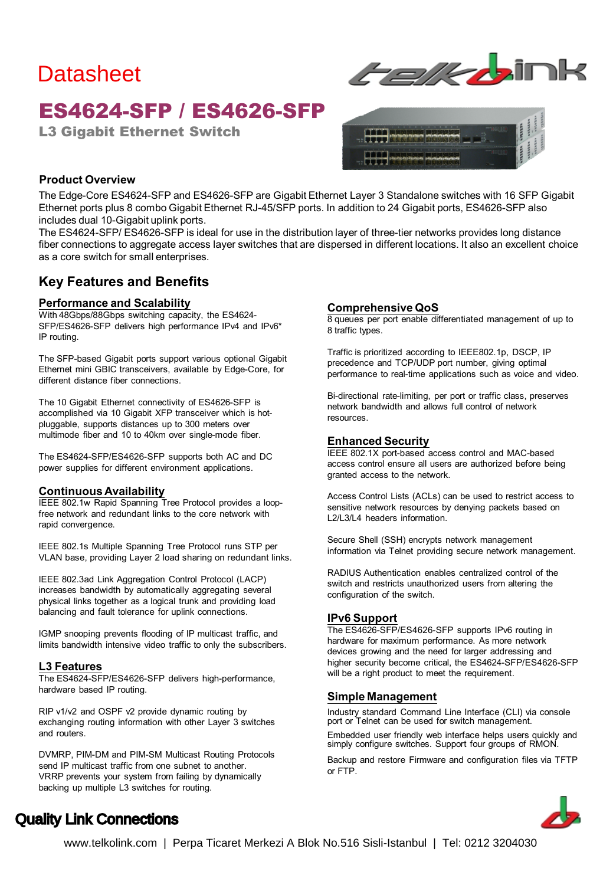# **Datasheet**

## **ES4624-SFP / ES4626-SFP**

**L3 Gigabit Ethernet Switch** 





#### **Product Overview**

The Edge-Core ES4624-SFP and ES4626-SFP are Gigabit Ethernet Layer 3 Standalone switches with 16 SFP Gigabit Ethernet ports plus 8 combo Gigabit Ethernet RJ-45/SFP ports. In addition to 24 Gigabit ports, ES4626-SFP also includes dual 10-Gigabit uplink ports.

The ES4624-SFP/ ES4626-SFP is ideal for use in the distribution layer of three-tier networks provides long distance fiber connections to aggregate access layer switches that are dispersed in different locations. It also an excellent choice as a core switch for small enterprises.

### **Key Features and Benefits**

#### **Performance and Scalability**

With 48Gbps/88Gbps switching capacity, the ES4624- SFP/ES4626-SFP delivers high performance IPv4 and IPv6\* IP routing.

The SFP-based Gigabit ports support various optional Gigabit Ethernet mini GBIC transceivers, available by Edge-Core, for different distance fiber connections.

The 10 Gigabit Ethernet connectivity of ES4626-SFP is accomplished via 10 Gigabit XFP transceiver which is hotpluggable, supports distances up to 300 meters over multimode fiber and 10 to 40km over single-mode fiber.

The ES4624-SFP/ES4626-SFP supports both AC and DC power supplies for different environment applications.

#### **Continuous Availability**

IEEE 802.1w Rapid Spanning Tree Protocol provides a loopfree network and redundant links to the core network with rapid convergence.

IEEE 802.1s Multiple Spanning Tree Protocol runs STP per VLAN base, providing Layer 2 load sharing on redundant links.

IEEE 802.3ad Link Aggregation Control Protocol (LACP) increases bandwidth by automatically aggregating several physical links together as a logical trunk and providing load balancing and fault tolerance for uplink connections.

IGMP snooping prevents flooding of IP multicast traffic, and limits bandwidth intensive video traffic to only the subscribers.

#### **L3 Features**

The ES4624-SFP/ES4626-SFP delivers high-performance, hardware based IP routing.

RIP v1/v2 and OSPF v2 provide dynamic routing by exchanging routing information with other Layer 3 switches and routers.

DVMRP, PIM-DM and PIM-SM Multicast Routing Protocols send IP multicast traffic from one subnet to another. VRRP prevents your system from failing by dynamically backing up multiple L3 switches for routing.

#### **Comprehensive QoS**

8 queues per port enable differentiated management of up to 8 traffic types.

Traffic is prioritized according to IEEE802.1p, DSCP, IP precedence and TCP/UDP port number, giving optimal performance to real-time applications such as voice and video.

Bi-directional rate-limiting, per port or traffic class, preserves network bandwidth and allows full control of network resources.

#### **Enhanced Security**

IEEE 802.1X port-based access control and MAC-based access control ensure all users are authorized before being granted access to the network.

Access Control Lists (ACLs) can be used to restrict access to sensitive network resources by denying packets based on L2/L3/L4 headers information.

Secure Shell (SSH) encrypts network management information via Telnet providing secure network management.

RADIUS Authentication enables centralized control of the switch and restricts unauthorized users from altering the configuration of the switch.

#### **IPv6 Support**

The ES4626-SFP/ES4626-SFP supports IPv6 routing in hardware for maximum performance. As more network devices growing and the need for larger addressing and higher security become critical, the ES4624-SFP/ES4626-SFP will be a right product to meet the requirement.

#### **Simple Management**

Industry standard Command Line Interface (CLI) via console port or Telnet can be used for switch management.

Embedded user friendly web interface helps users quickly and simply configure switches. Support four groups of RMON.

Backup and restore Firmware and configuration files via TFTP or FTP.



### Quality Link Connections

www.telkolink.com | Perpa Ticaret Merkezi A Blok No.516 Sisli-Istanbul | Tel: 0212 3204030